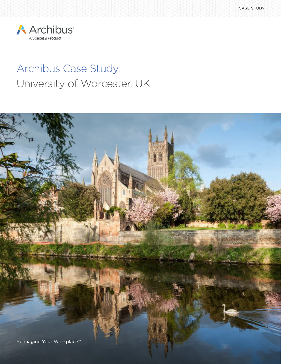

# Archibus Case Study: University of Worcester, UK

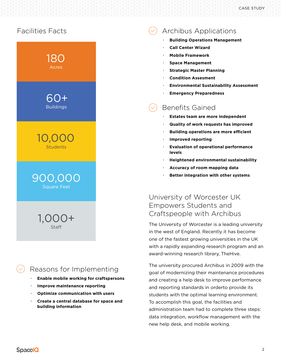

# Reasons for Implementing

- **· Enable mobile working for craftspersons**
- **· Improve maintenance reporting**
- **· Optimize communication with users**
- **· Create a central database for space and building information**

# Archibus Applications

- **· Building Operations Management**
- **· Call Center Wizard**
- **· Mobile Framework**
- **· Space Management**
- **· Strategic Master Planning**
- **· Condition Assesment**
- **· Environmental Sustainability Assessment**
- **· Emergency Preparedness**

# Benefits Gained

- **· Estates team are more independent**
- **· Quality of work requests has improved**
- **· Building operations are more efficient**
- **· Improved reporting**
- **· Evaluation of operational performance levels**
- **· Heightened environmental sustainability**
- **· Accuracy of room mapping data**
- **· Better integration with other systems**

#### University of Worcester UK Empowers Students and Craftspeople with Archibus

The University of Worcester is a leading university in the west of England. Recently it has become one of the fastest growing universities in the UK with a rapidly expanding research program and an award-winning research library, TheHive.

The university procured Archibus in 2009 with the goal of modernizing their maintenance procedures and creating a help desk to improve performance and reporting standards in orderto provide its students with the optimal learning environment. To accomplish this goal, the facilities and administration team had to complete three steps: data integration, workflow management with the new help desk, and mobile working.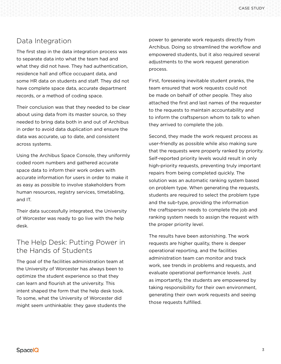#### Data Integration

The first step in the data integration process was to separate data into what the team had and what they did not have. They had authentication, residence hall and office occupant data, and some HR data on students and staff. They did not have complete space data, accurate department records, or a method of coding space.

Their conclusion was that they needed to be clear about using data from its master source, so they needed to bring data both in and out of Archibus in order to avoid data duplication and ensure the data was accurate, up to date, and consistent across systems.

Using the Archibus Space Console, they uniformly coded room numbers and gathered accurate space data to inform their work orders with accurate information for users in order to make it as easy as possible to involve stakeholders from human resources, registry services, timetabling, and IT.

Their data successfully integrated, the University of Worcester was ready to go live with the help desk.

#### The Help Desk: Putting Power in the Hands of Students

The goal of the facilities administration team at the University of Worcester has always been to optimize the student experience so that they can learn and flourish at the university. This intent shaped the form that the help desk took. To some, what the University of Worcester did might seem unthinkable: they gave students the power to generate work requests directly from Archibus. Doing so streamlined the workflow and empowered students, but it also required several adjustments to the work request generation process.

First, foreseeing inevitable student pranks, the team ensured that work requests could not be made on behalf of other people. They also attached the first and last names of the requester to the requests to maintain accountability and to inform the craftsperson whom to talk to when they arrived to complete the job.

Second, they made the work request process as user-friendly as possible while also making sure that the requests were properly ranked by priority. Self-reported priority levels would result in only high-priority requests, preventing truly important repairs from being completed quickly. The solution was an automatic ranking system based on problem type. When generating the requests, students are required to select the problem type and the sub-type, providing the information the craftsperson needs to complete the job and ranking system needs to assign the request with the proper priority level.

The results have been astonishing. The work requests are higher quality, there is deeper operational reporting, and the facilities administration team can monitor and track work, see trends in problems and requests, and evaluate operational performance levels. Just as importantly, the students are empowered by taking responsibility for their own environment, generating their own work requests and seeing those requests fulfilled.